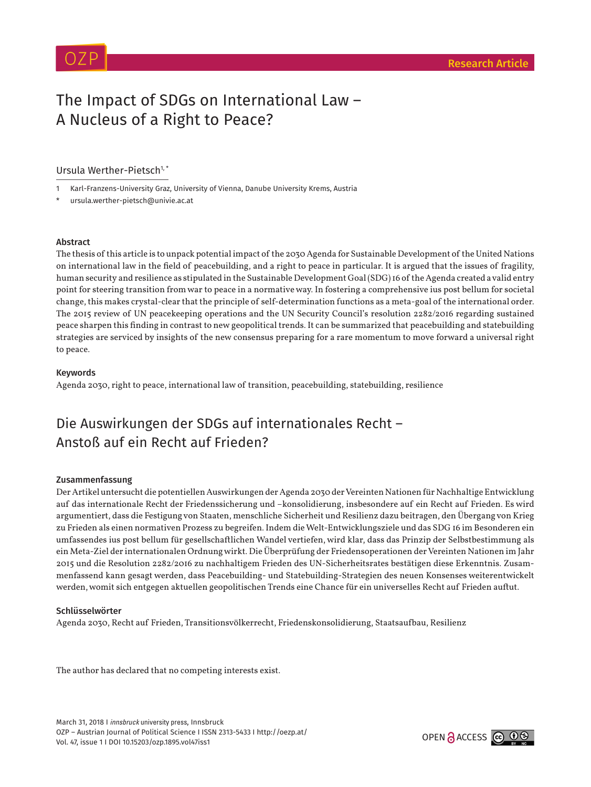# The Impact of SDGs on International Law – A Nucleus of a Right to Peace?

# Ursula Werther-Pietsch<sup>1, \*</sup>

- 1 Karl-Franzens-University Graz, University of Vienna, Danube University Krems, Austria
- ursula.werther-pietsch@univie.ac.at

# Abstract

The thesis of this article is to unpack potential impact of the 2030 Agenda for Sustainable Development of the United Nations on international law in the field of peacebuilding, and a right to peace in particular. It is argued that the issues of fragility, human security and resilience as stipulated in the Sustainable Development Goal (SDG) 16 of the Agenda created a valid entry point for steering transition from war to peace in a normative way. In fostering a comprehensive ius post bellum for societal change, this makes crystal-clear that the principle of self-determination functions as a meta-goal of the international order. The 2015 review of UN peacekeeping operations and the UN Security Council's resolution 2282/2016 regarding sustained peace sharpen this finding in contrast to new geopolitical trends. It can be summarized that peacebuilding and statebuilding strategies are serviced by insights of the new consensus preparing for a rare momentum to move forward a universal right to peace.

# Keywords

Agenda 2030, right to peace, international law of transition, peacebuilding, statebuilding, resilience

# Die Auswirkungen der SDGs auf internationales Recht – Anstoß auf ein Recht auf Frieden?

# Zusammenfassung

Der Artikel untersucht die potentiellen Auswirkungen der Agenda 2030 der Vereinten Nationen für Nachhaltige Entwicklung auf das internationale Recht der Friedenssicherung und –konsolidierung, insbesondere auf ein Recht auf Frieden. Es wird argumentiert, dass die Festigung von Staaten, menschliche Sicherheit und Resilienz dazu beitragen, den Übergang von Krieg zu Frieden als einen normativen Prozess zu begreifen. Indem die Welt-Entwicklungsziele und das SDG 16 im Besonderen ein umfassendes ius post bellum für gesellschaftlichen Wandel vertiefen, wird klar, dass das Prinzip der Selbstbestimmung als ein Meta-Ziel der internationalen Ordnung wirkt. Die Überprüfung der Friedensoperationen der Vereinten Nationen im Jahr 2015 und die Resolution 2282/2016 zu nachhaltigem Frieden des UN-Sicherheitsrates bestätigen diese Erkenntnis. Zusammenfassend kann gesagt werden, dass Peacebuilding- und Statebuilding-Strategien des neuen Konsenses weiterentwickelt werden, womit sich entgegen aktuellen geopolitischen Trends eine Chance für ein universelles Recht auf Frieden auftut.

# Schlüsselwörter

Agenda 2030, Recht auf Frieden, Transitionsvölkerrecht, Friedenskonsolidierung, Staatsaufbau, Resilienz

The author has declared that no competing interests exist.

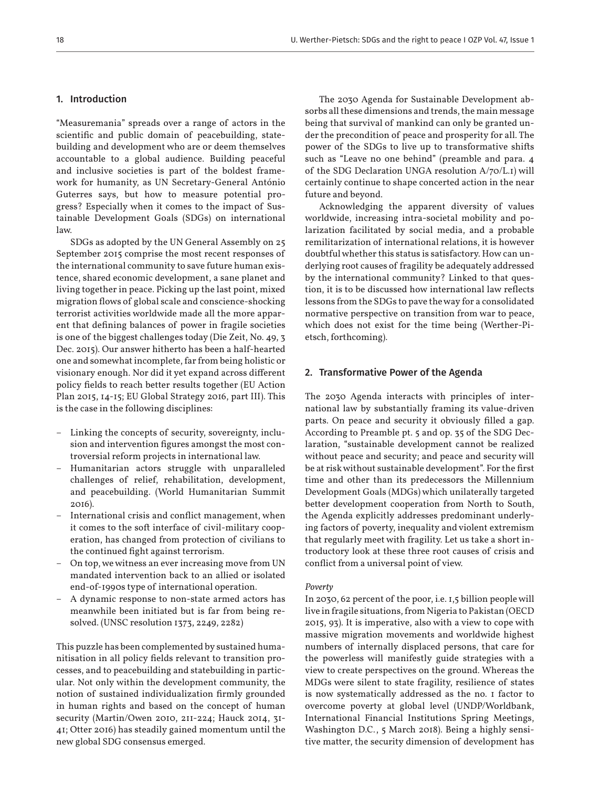# 1. Introduction

"Measuremania" spreads over a range of actors in the scientific and public domain of peacebuilding, statebuilding and development who are or deem themselves accountable to a global audience. Building peaceful and inclusive societies is part of the boldest framework for humanity, as UN Secretary-General António Guterres says, but how to measure potential progress? Especially when it comes to the impact of Sustainable Development Goals (SDGs) on international law.

SDGs as adopted by the UN General Assembly on 25 September 2015 comprise the most recent responses of the international community to save future human existence, shared economic development, a sane planet and living together in peace. Picking up the last point, mixed migration flows of global scale and conscience-shocking terrorist activities worldwide made all the more apparent that defining balances of power in fragile societies is one of the biggest challenges today (Die Zeit, No. 49, 3 Dec. 2015). Our answer hitherto has been a half-hearted one and somewhat incomplete, far from being holistic or visionary enough. Nor did it yet expand across different policy fields to reach better results together (EU Action Plan 2015, 14-15; EU Global Strategy 2016, part III). This is the case in the following disciplines:

- Linking the concepts of security, sovereignty, inclusion and intervention figures amongst the most controversial reform projects in international law.
- Humanitarian actors struggle with unparalleled challenges of relief, rehabilitation, development, and peacebuilding. (World Humanitarian Summit 2016).
- International crisis and conflict management, when it comes to the soft interface of civil-military cooperation, has changed from protection of civilians to the continued fight against terrorism.
- On top, we witness an ever increasing move from UN mandated intervention back to an allied or isolated end-of-1990s type of international operation.
- A dynamic response to non-state armed actors has meanwhile been initiated but is far from being resolved. (UNSC resolution 1373, 2249, 2282)

This puzzle has been complemented by sustained humanitisation in all policy fields relevant to transition processes, and to peacebuilding and statebuilding in particular. Not only within the development community, the notion of sustained individualization firmly grounded in human rights and based on the concept of human security (Martin/Owen 2010, 211-224; Hauck 2014, 31- 41; Otter 2016) has steadily gained momentum until the new global SDG consensus emerged.

The 2030 Agenda for Sustainable Development absorbs all these dimensions and trends, the main message being that survival of mankind can only be granted under the precondition of peace and prosperity for all. The power of the SDGs to live up to transformative shifts such as "Leave no one behind" (preamble and para. 4 of the SDG Declaration UNGA resolution A/70/L.1) will certainly continue to shape concerted action in the near future and beyond.

Acknowledging the apparent diversity of values worldwide, increasing intra-societal mobility and polarization facilitated by social media, and a probable remilitarization of international relations, it is however doubtful whether this status is satisfactory. How can underlying root causes of fragility be adequately addressed by the international community? Linked to that question, it is to be discussed how international law reflects lessons from the SDGs to pave the way for a consolidated normative perspective on transition from war to peace, which does not exist for the time being (Werther-Pietsch, forthcoming).

# 2. Transformative Power of the Agenda

The 2030 Agenda interacts with principles of international law by substantially framing its value-driven parts. On peace and security it obviously filled a gap. According to Preamble pt. 5 and op. 35 of the SDG Declaration, "sustainable development cannot be realized without peace and security; and peace and security will be at risk without sustainable development". For the first time and other than its predecessors the Millennium Development Goals (MDGs) which unilaterally targeted better development cooperation from North to South, the Agenda explicitly addresses predominant underlying factors of poverty, inequality and violent extremism that regularly meet with fragility. Let us take a short introductory look at these three root causes of crisis and conflict from a universal point of view.

#### *Poverty*

In 2030, 62 percent of the poor, i.e. 1,5 billion people will live in fragile situations, from Nigeria to Pakistan (OECD 2015, 93). It is imperative, also with a view to cope with massive migration movements and worldwide highest numbers of internally displaced persons, that care for the powerless will manifestly guide strategies with a view to create perspectives on the ground. Whereas the MDGs were silent to state fragility, resilience of states is now systematically addressed as the no. 1 factor to overcome poverty at global level (UNDP/Worldbank, International Financial Institutions Spring Meetings, Washington D.C., 5 March 2018). Being a highly sensitive matter, the security dimension of development has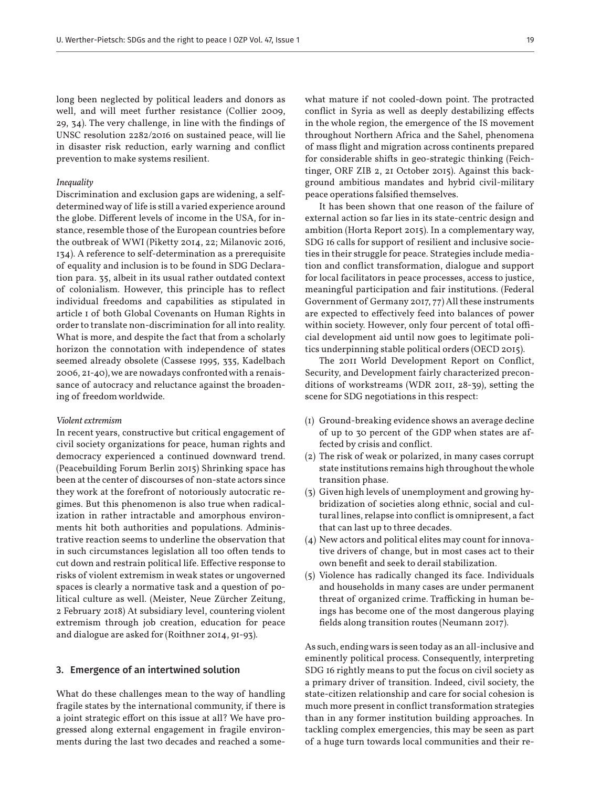long been neglected by political leaders and donors as well, and will meet further resistance (Collier 2009, 29, 34). The very challenge, in line with the findings of UNSC resolution 2282/2016 on sustained peace, will lie in disaster risk reduction, early warning and conflict prevention to make systems resilient.

#### *Inequality*

Discrimination and exclusion gaps are widening, a selfdetermined way of life is still a varied experience around the globe. Different levels of income in the USA, for instance, resemble those of the European countries before the outbreak of WWI (Piketty 2014, 22; Milanovic 2016, 134). A reference to self-determination as a prerequisite of equality and inclusion is to be found in SDG Declaration para. 35, albeit in its usual rather outdated context of colonialism. However, this principle has to reflect individual freedoms and capabilities as stipulated in article 1 of both Global Covenants on Human Rights in order to translate non-discrimination for all into reality. What is more, and despite the fact that from a scholarly horizon the connotation with independence of states seemed already obsolete (Cassese 1995, 335, Kadelbach 2006, 21-40), we are nowadays confronted with a renaissance of autocracy and reluctance against the broadening of freedom worldwide.

#### *Violent extremism*

In recent years, constructive but critical engagement of civil society organizations for peace, human rights and democracy experienced a continued downward trend. (Peacebuilding Forum Berlin 2015) Shrinking space has been at the center of discourses of non-state actors since they work at the forefront of notoriously autocratic regimes. But this phenomenon is also true when radicalization in rather intractable and amorphous environments hit both authorities and populations. Administrative reaction seems to underline the observation that in such circumstances legislation all too often tends to cut down and restrain political life. Effective response to risks of violent extremism in weak states or ungoverned spaces is clearly a normative task and a question of political culture as well. (Meister, Neue Zürcher Zeitung, 2 February 2018) At subsidiary level, countering violent extremism through job creation, education for peace and dialogue are asked for (Roithner 2014, 91-93).

#### 3. Emergence of an intertwined solution

What do these challenges mean to the way of handling fragile states by the international community, if there is a joint strategic effort on this issue at all? We have progressed along external engagement in fragile environments during the last two decades and reached a somewhat mature if not cooled-down point. The protracted conflict in Syria as well as deeply destabilizing effects in the whole region, the emergence of the IS movement throughout Northern Africa and the Sahel, phenomena of mass flight and migration across continents prepared for considerable shifts in geo-strategic thinking (Feichtinger, ORF ZIB 2, 21 October 2015). Against this background ambitious mandates and hybrid civil-military peace operations falsified themselves.

It has been shown that one reason of the failure of external action so far lies in its state-centric design and ambition (Horta Report 2015). In a complementary way, SDG 16 calls for support of resilient and inclusive societies in their struggle for peace. Strategies include mediation and conflict transformation, dialogue and support for local facilitators in peace processes, access to justice, meaningful participation and fair institutions. (Federal Government of Germany 2017, 77) All these instruments are expected to effectively feed into balances of power within society. However, only four percent of total official development aid until now goes to legitimate politics underpinning stable political orders (OECD 2015).

The 2011 World Development Report on Conflict, Security, and Development fairly characterized preconditions of workstreams (WDR 2011, 28-39), setting the scene for SDG negotiations in this respect:

- (1) Ground-breaking evidence shows an average decline of up to 30 percent of the GDP when states are affected by crisis and conflict.
- (2) The risk of weak or polarized, in many cases corrupt state institutions remains high throughout the whole transition phase.
- (3) Given high levels of unemployment and growing hybridization of societies along ethnic, social and cultural lines, relapse into conflict is omnipresent, a fact that can last up to three decades.
- (4) New actors and political elites may count for innovative drivers of change, but in most cases act to their own benefit and seek to derail stabilization.
- (5) Violence has radically changed its face. Individuals and households in many cases are under permanent threat of organized crime. Trafficking in human beings has become one of the most dangerous playing fields along transition routes (Neumann 2017).

As such, ending wars is seen today as an all-inclusive and eminently political process. Consequently, interpreting SDG 16 rightly means to put the focus on civil society as a primary driver of transition. Indeed, civil society, the state-citizen relationship and care for social cohesion is much more present in conflict transformation strategies than in any former institution building approaches. In tackling complex emergencies, this may be seen as part of a huge turn towards local communities and their re-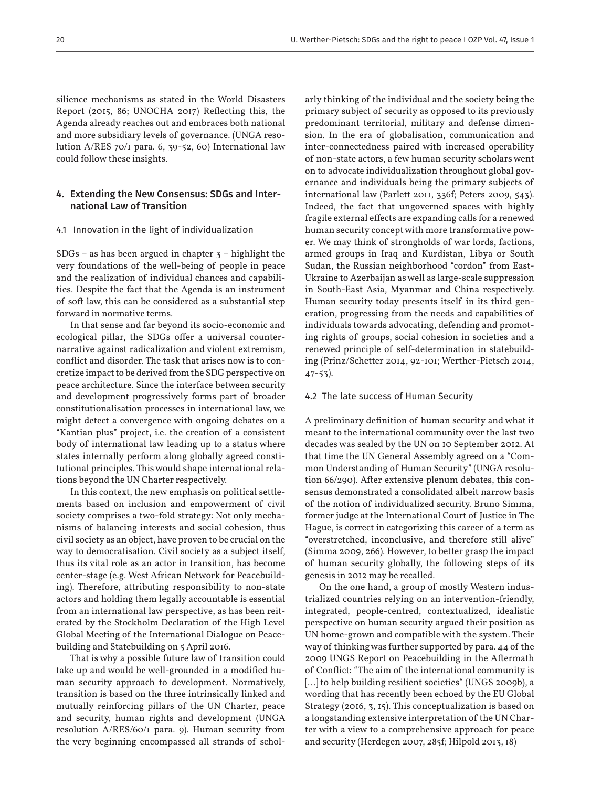silience mechanisms as stated in the World Disasters Report (2015, 86; UNOCHA 2017) Reflecting this, the Agenda already reaches out and embraces both national and more subsidiary levels of governance. (UNGA resolution A/RES 70/1 para. 6, 39-52, 60) International law could follow these insights.

# 4. Extending the New Consensus: SDGs and International Law of Transition

#### 4.1 Innovation in the light of individualization

 $SDGs - as has been argued in chapter 3 - highlight the$ very foundations of the well-being of people in peace and the realization of individual chances and capabilities. Despite the fact that the Agenda is an instrument of soft law, this can be considered as a substantial step forward in normative terms.

In that sense and far beyond its socio-economic and ecological pillar, the SDGs offer a universal counternarrative against radicalization and violent extremism, conflict and disorder. The task that arises now is to concretize impact to be derived from the SDG perspective on peace architecture. Since the interface between security and development progressively forms part of broader constitutionalisation processes in international law, we might detect a convergence with ongoing debates on a "Kantian plus" project, i.e. the creation of a consistent body of international law leading up to a status where states internally perform along globally agreed constitutional principles. This would shape international relations beyond the UN Charter respectively.

In this context, the new emphasis on political settlements based on inclusion and empowerment of civil society comprises a two-fold strategy: Not only mechanisms of balancing interests and social cohesion, thus civil society as an object, have proven to be crucial on the way to democratisation. Civil society as a subject itself, thus its vital role as an actor in transition, has become center-stage (e.g. West African Network for Peacebuilding). Therefore, attributing responsibility to non-state actors and holding them legally accountable is essential from an international law perspective, as has been reiterated by the Stockholm Declaration of the High Level Global Meeting of the International Dialogue on Peacebuilding and Statebuilding on 5 April 2016.

That is why a possible future law of transition could take up and would be well-grounded in a modified human security approach to development. Normatively, transition is based on the three intrinsically linked and mutually reinforcing pillars of the UN Charter, peace and security, human rights and development (UNGA resolution A/RES/60/1 para. 9). Human security from the very beginning encompassed all strands of scholarly thinking of the individual and the society being the primary subject of security as opposed to its previously predominant territorial, military and defense dimension. In the era of globalisation, communication and inter-connectedness paired with increased operability of non-state actors, a few human security scholars went on to advocate individualization throughout global governance and individuals being the primary subjects of international law (Parlett 2011, 336f; Peters 2009, 543). Indeed, the fact that ungoverned spaces with highly fragile external effects are expanding calls for a renewed human security concept with more transformative power. We may think of strongholds of war lords, factions, armed groups in Iraq and Kurdistan, Libya or South Sudan, the Russian neighborhood "cordon" from East-Ukraine to Azerbaijan as well as large-scale suppression in South-East Asia, Myanmar and China respectively. Human security today presents itself in its third generation, progressing from the needs and capabilities of individuals towards advocating, defending and promoting rights of groups, social cohesion in societies and a renewed principle of self-determination in statebuilding (Prinz/Schetter 2014, 92-101; Werther-Pietsch 2014, 47-53).

#### 4.2 The late success of Human Security

A preliminary definition of human security and what it meant to the international community over the last two decades was sealed by the UN on 10 September 2012. At that time the UN General Assembly agreed on a "Common Understanding of Human Security" (UNGA resolution 66/290). After extensive plenum debates, this consensus demonstrated a consolidated albeit narrow basis of the notion of individualized security. Bruno Simma, former judge at the International Court of Justice in The Hague, is correct in categorizing this career of a term as "overstretched, inconclusive, and therefore still alive" (Simma 2009, 266). However, to better grasp the impact of human security globally, the following steps of its genesis in 2012 may be recalled.

On the one hand, a group of mostly Western industrialized countries relying on an intervention-friendly, integrated, people-centred, contextualized, idealistic perspective on human security argued their position as UN home-grown and compatible with the system. Their way of thinking was further supported by para. 44 of the 2009 UNGS Report on Peacebuilding in the Aftermath of Conflict: "The aim of the international community is [...] to help building resilient societies" (UNGS 2009b), a wording that has recently been echoed by the EU Global Strategy (2016, 3, 15). This conceptualization is based on a longstanding extensive interpretation of the UN Charter with a view to a comprehensive approach for peace and security (Herdegen 2007, 285f; Hilpold 2013, 18)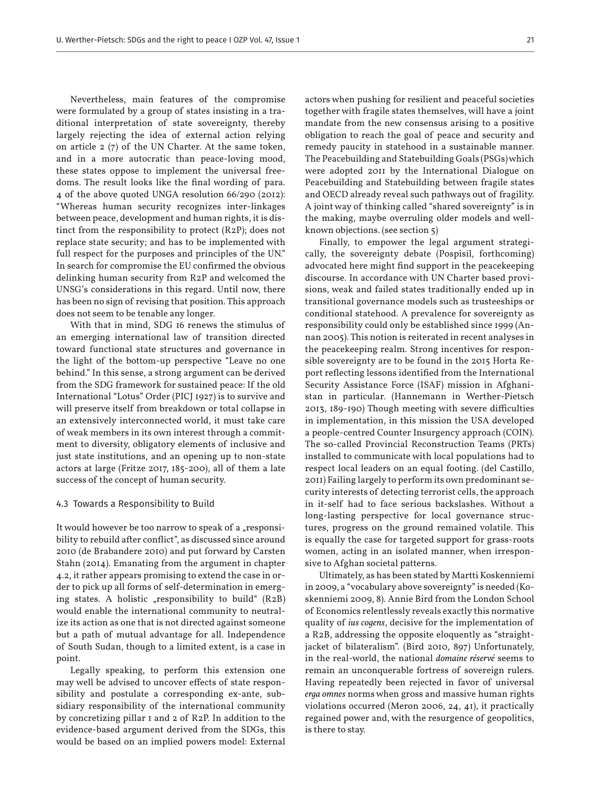Nevertheless, main features of the compromise were formulated by a group of states insisting in a traditional interpretation of state sovereignty, thereby largely rejecting the idea of external action relying on article 2 (7) of the UN Charter. At the same token, and in a more autocratic than peace-loving mood, these states oppose to implement the universal freedoms. The result looks like the final wording of para. 4 of the above quoted UNGA resolution 66/290 (2012): "Whereas human security recognizes inter-linkages between peace, development and human rights, it is distinct from the responsibility to protect (R2P); does not replace state security; and has to be implemented with full respect for the purposes and principles of the UN." In search for compromise the EU confirmed the obvious delinking human security from R2P and welcomed the UNSG's considerations in this regard. Until now, there has been no sign of revising that position. This approach does not seem to be tenable any longer.

With that in mind, SDG 16 renews the stimulus of an emerging international law of transition directed toward functional state structures and governance in the light of the bottom-up perspective "Leave no one behind." In this sense, a strong argument can be derived from the SDG framework for sustained peace: If the old International "Lotus" Order (PICJ 1927) is to survive and will preserve itself from breakdown or total collapse in an extensively interconnected world, it must take care of weak members in its own interest through a commitment to diversity, obligatory elements of inclusive and just state institutions, and an opening up to non-state actors at large (Fritze 2017, 185-200), all of them a late success of the concept of human security.

#### 4.3 Towards a Responsibility to Build

It would however be too narrow to speak of a "responsibility to rebuild after conflict", as discussed since around 2010 (de Brabandere 2010) and put forward by Carsten Stahn (2014). Emanating from the argument in chapter 4.2, it rather appears promising to extend the case in order to pick up all forms of self-determination in emerging states. A holistic "responsibility to build"  $(R2B)$ would enable the international community to neutralize its action as one that is not directed against someone but a path of mutual advantage for all. Independence of South Sudan, though to a limited extent, is a case in point.

Legally speaking, to perform this extension one may well be advised to uncover effects of state responsibility and postulate a corresponding ex-ante, subsidiary responsibility of the international community by concretizing pillar 1 and 2 of R2P. In addition to the evidence-based argument derived from the SDGs, this would be based on an implied powers model: External actors when pushing for resilient and peaceful societies together with fragile states themselves, will have a joint mandate from the new consensus arising to a positive obligation to reach the goal of peace and security and remedy paucity in statehood in a sustainable manner. The Peacebuilding and Statebuilding Goals (PSGs) which were adopted 2011 by the International Dialogue on Peacebuilding and Statebuilding between fragile states and OECD already reveal such pathways out of fragility. A joint way of thinking called "shared sovereignty" is in the making, maybe overruling older models and wellknown objections. (see section 5)

Finally, to empower the legal argument strategically, the sovereignty debate (Pospisil, forthcoming) advocated here might find support in the peacekeeping discourse. In accordance with UN Charter based provisions, weak and failed states traditionally ended up in transitional governance models such as trusteeships or conditional statehood. A prevalence for sovereignty as responsibility could only be established since 1999 (Annan 2005). This notion is reiterated in recent analyses in the peacekeeping realm. Strong incentives for responsible sovereignty are to be found in the 2015 Horta Report reflecting lessons identified from the International Security Assistance Force (ISAF) mission in Afghanistan in particular. (Hannemann in Werther-Pietsch 2013, 189-190) Though meeting with severe difficulties in implementation, in this mission the USA developed a people-centred Counter Insurgency approach (COIN). The so-called Provincial Reconstruction Teams (PRTs) installed to communicate with local populations had to respect local leaders on an equal footing. (del Castillo, 2011) Failing largely to perform its own predominant security interests of detecting terrorist cells, the approach in it-self had to face serious backslashes. Without a long-lasting perspective for local governance structures, progress on the ground remained volatile. This is equally the case for targeted support for grass-roots women, acting in an isolated manner, when irresponsive to Afghan societal patterns.

Ultimately, as has been stated by Martti Koskenniemi in 2009, a "vocabulary above sovereignty" is needed (Koskenniemi 2009, 8). Annie Bird from the London School of Economics relentlessly reveals exactly this normative quality of *ius cogens*, decisive for the implementation of a R2B, addressing the opposite eloquently as "straightjacket of bilateralism". (Bird 2010, 897) Unfortunately, in the real-world, the national *domaine réservé* seems to remain an unconquerable fortress of sovereign rulers. Having repeatedly been rejected in favor of universal *erga omnes* norms when gross and massive human rights violations occurred (Meron 2006, 24, 41), it practically regained power and, with the resurgence of geopolitics, is there to stay.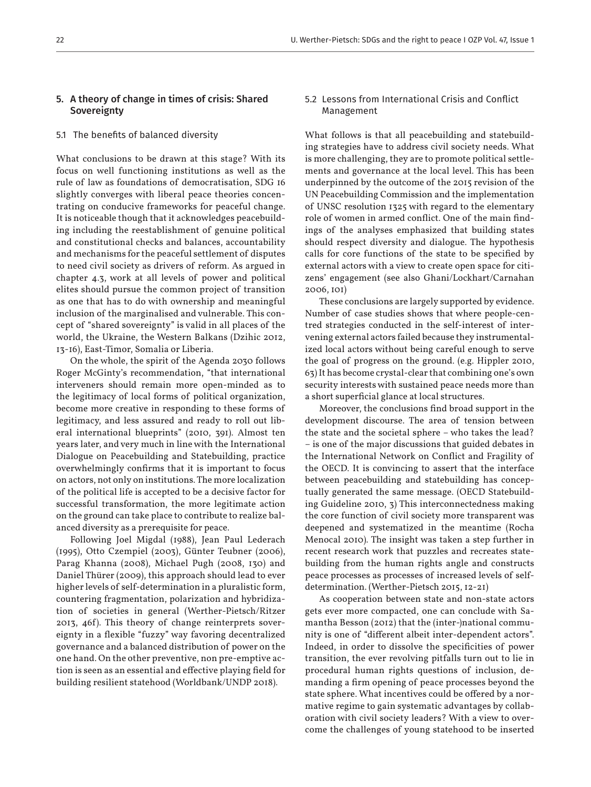# 5. A theory of change in times of crisis: Shared **Sovereignty**

#### 5.1 The benefits of balanced diversity

What conclusions to be drawn at this stage? With its focus on well functioning institutions as well as the rule of law as foundations of democratisation, SDG 16 slightly converges with liberal peace theories concentrating on conducive frameworks for peaceful change. It is noticeable though that it acknowledges peacebuilding including the reestablishment of genuine political and constitutional checks and balances, accountability and mechanisms for the peaceful settlement of disputes to need civil society as drivers of reform. As argued in chapter 4.3, work at all levels of power and political elites should pursue the common project of transition as one that has to do with ownership and meaningful inclusion of the marginalised and vulnerable. This concept of "shared sovereignty" is valid in all places of the world, the Ukraine, the Western Balkans (Dzihic 2012, 13-16), East-Timor, Somalia or Liberia.

On the whole, the spirit of the Agenda 2030 follows Roger McGinty's recommendation, "that international interveners should remain more open-minded as to the legitimacy of local forms of political organization, become more creative in responding to these forms of legitimacy, and less assured and ready to roll out liberal international blueprints" (2010, 391). Almost ten years later, and very much in line with the International Dialogue on Peacebuilding and Statebuilding, practice overwhelmingly confirms that it is important to focus on actors, not only on institutions. The more localization of the political life is accepted to be a decisive factor for successful transformation, the more legitimate action on the ground can take place to contribute to realize balanced diversity as a prerequisite for peace.

Following Joel Migdal (1988), Jean Paul Lederach (1995), Otto Czempiel (2003), Günter Teubner (2006), Parag Khanna (2008), Michael Pugh (2008, 130) and Daniel Thürer (2009), this approach should lead to ever higher levels of self-determination in a pluralistic form, countering fragmentation, polarization and hybridization of societies in general (Werther-Pietsch/Ritzer 2013, 46f). This theory of change reinterprets sovereignty in a flexible "fuzzy" way favoring decentralized governance and a balanced distribution of power on the one hand. On the other preventive, non pre-emptive action is seen as an essential and effective playing field for building resilient statehood (Worldbank/UNDP 2018).

# 5.2 Lessons from International Crisis and Conflict Management

What follows is that all peacebuilding and statebuilding strategies have to address civil society needs. What is more challenging, they are to promote political settlements and governance at the local level. This has been underpinned by the outcome of the 2015 revision of the UN Peacebuilding Commission and the implementation of UNSC resolution 1325 with regard to the elementary role of women in armed conflict. One of the main findings of the analyses emphasized that building states should respect diversity and dialogue. The hypothesis calls for core functions of the state to be specified by external actors with a view to create open space for citizens' engagement (see also Ghani/Lockhart/Carnahan 2006, 101)

These conclusions are largely supported by evidence. Number of case studies shows that where people-centred strategies conducted in the self-interest of intervening external actors failed because they instrumentalized local actors without being careful enough to serve the goal of progress on the ground. (e.g. Hippler 2010, 63) It has become crystal-clear that combining one's own security interests with sustained peace needs more than a short superficial glance at local structures.

Moreover, the conclusions find broad support in the development discourse. The area of tension between the state and the societal sphere – who takes the lead? – is one of the major discussions that guided debates in the International Network on Conflict and Fragility of the OECD. It is convincing to assert that the interface between peacebuilding and statebuilding has conceptually generated the same message. (OECD Statebuilding Guideline 2010, 3) This interconnectedness making the core function of civil society more transparent was deepened and systematized in the meantime (Rocha Menocal 2010). The insight was taken a step further in recent research work that puzzles and recreates statebuilding from the human rights angle and constructs peace processes as processes of increased levels of selfdetermination. (Werther-Pietsch 2015, 12-21)

As cooperation between state and non-state actors gets ever more compacted, one can conclude with Samantha Besson (2012) that the (inter-)national community is one of "different albeit inter-dependent actors". Indeed, in order to dissolve the specificities of power transition, the ever revolving pitfalls turn out to lie in procedural human rights questions of inclusion, demanding a firm opening of peace processes beyond the state sphere. What incentives could be offered by a normative regime to gain systematic advantages by collaboration with civil society leaders? With a view to overcome the challenges of young statehood to be inserted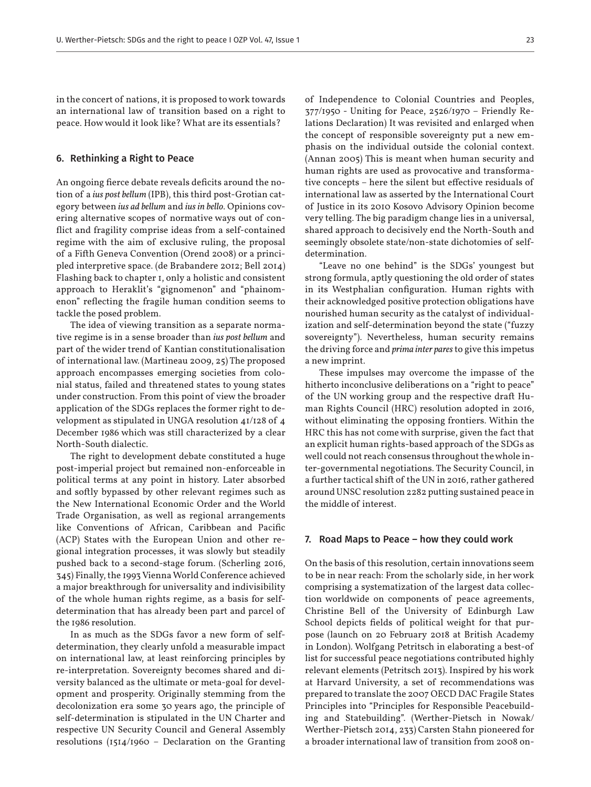in the concert of nations, it is proposed to work towards an international law of transition based on a right to peace. How would it look like? What are its essentials?

#### 6. Rethinking a Right to Peace

An ongoing fierce debate reveals deficits around the notion of a *ius post bellum* (IPB), this third post-Grotian category between *ius ad bellum* and *ius in bello*. Opinions covering alternative scopes of normative ways out of conflict and fragility comprise ideas from a self-contained regime with the aim of exclusive ruling, the proposal of a Fifth Geneva Convention (Orend 2008) or a principled interpretive space. (de Brabandere 2012; Bell 2014) Flashing back to chapter 1, only a holistic and consistent approach to Heraklit's "gignomenon" and "phainomenon" reflecting the fragile human condition seems to tackle the posed problem.

The idea of viewing transition as a separate normative regime is in a sense broader than *ius post bellum* and part of the wider trend of Kantian constitutionalisation of international law. (Martineau 2009, 25) The proposed approach encompasses emerging societies from colonial status, failed and threatened states to young states under construction. From this point of view the broader application of the SDGs replaces the former right to development as stipulated in UNGA resolution 41/128 of 4 December 1986 which was still characterized by a clear North-South dialectic.

The right to development debate constituted a huge post-imperial project but remained non-enforceable in political terms at any point in history. Later absorbed and softly bypassed by other relevant regimes such as the New International Economic Order and the World Trade Organisation, as well as regional arrangements like Conventions of African, Caribbean and Pacific (ACP) States with the European Union and other regional integration processes, it was slowly but steadily pushed back to a second-stage forum. (Scherling 2016, 345) Finally, the 1993 Vienna World Conference achieved a major breakthrough for universality and indivisibility of the whole human rights regime, as a basis for selfdetermination that has already been part and parcel of the 1986 resolution.

In as much as the SDGs favor a new form of selfdetermination, they clearly unfold a measurable impact on international law, at least reinforcing principles by re-interpretation. Sovereignty becomes shared and diversity balanced as the ultimate or meta-goal for development and prosperity. Originally stemming from the decolonization era some 30 years ago, the principle of self-determination is stipulated in the UN Charter and respective UN Security Council and General Assembly resolutions (1514/1960 – Declaration on the Granting of Independence to Colonial Countries and Peoples, 377/1950 - Uniting for Peace, 2526/1970 – Friendly Relations Declaration) It was revisited and enlarged when the concept of responsible sovereignty put a new emphasis on the individual outside the colonial context. (Annan 2005) This is meant when human security and human rights are used as provocative and transformative concepts – here the silent but effective residuals of international law as asserted by the International Court of Justice in its 2010 Kosovo Advisory Opinion become very telling. The big paradigm change lies in a universal, shared approach to decisively end the North-South and seemingly obsolete state/non-state dichotomies of selfdetermination.

"Leave no one behind" is the SDGs' youngest but strong formula, aptly questioning the old order of states in its Westphalian configuration. Human rights with their acknowledged positive protection obligations have nourished human security as the catalyst of individualization and self-determination beyond the state ("fuzzy sovereignty"). Nevertheless, human security remains the driving force and *prima inter pares* to give this impetus a new imprint.

These impulses may overcome the impasse of the hitherto inconclusive deliberations on a "right to peace" of the UN working group and the respective draft Human Rights Council (HRC) resolution adopted in 2016, without eliminating the opposing frontiers. Within the HRC this has not come with surprise, given the fact that an explicit human rights-based approach of the SDGs as well could not reach consensus throughout the whole inter-governmental negotiations. The Security Council, in a further tactical shift of the UN in 2016, rather gathered around UNSC resolution 2282 putting sustained peace in the middle of interest.

#### 7. Road Maps to Peace – how they could work

On the basis of this resolution, certain innovations seem to be in near reach: From the scholarly side, in her work comprising a systematization of the largest data collection worldwide on components of peace agreements, Christine Bell of the University of Edinburgh Law School depicts fields of political weight for that purpose (launch on 20 February 2018 at British Academy in London). Wolfgang Petritsch in elaborating a best-of list for successful peace negotiations contributed highly relevant elements (Petritsch 2013). Inspired by his work at Harvard University, a set of recommendations was prepared to translate the 2007 OECD DAC Fragile States Principles into "Principles for Responsible Peacebuilding and Statebuilding". (Werther-Pietsch in Nowak/ Werther-Pietsch 2014, 233) Carsten Stahn pioneered for a broader international law of transition from 2008 on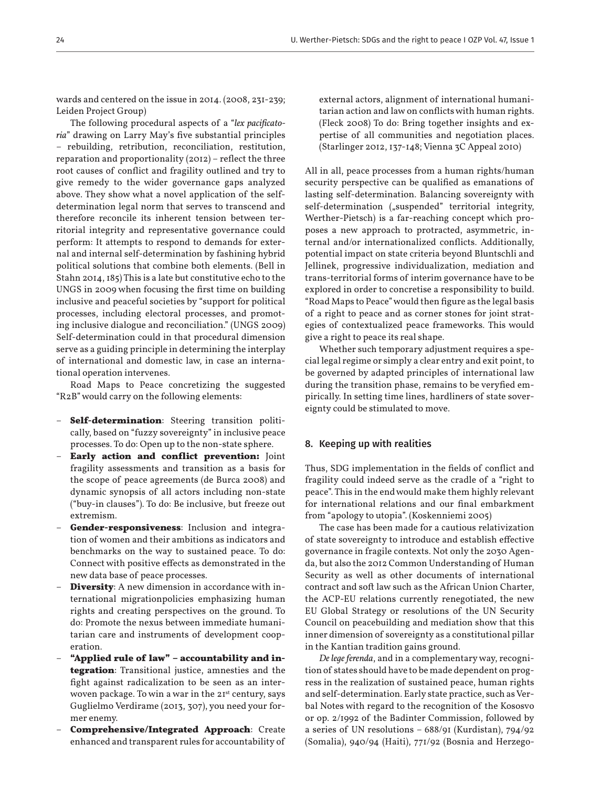wards and centered on the issue in 2014. (2008, 231-239; Leiden Project Group)

The following procedural aspects of a "*lex pacificatoria*" drawing on Larry May's five substantial principles – rebuilding, retribution, reconciliation, restitution, reparation and proportionality (2012) – reflect the three root causes of conflict and fragility outlined and try to give remedy to the wider governance gaps analyzed above. They show what a novel application of the selfdetermination legal norm that serves to transcend and therefore reconcile its inherent tension between territorial integrity and representative governance could perform: It attempts to respond to demands for external and internal self-determination by fashining hybrid political solutions that combine both elements. (Bell in Stahn 2014, 185) This is a late but constitutive echo to the UNGS in 2009 when focusing the first time on building inclusive and peaceful societies by "support for political processes, including electoral processes, and promoting inclusive dialogue and reconciliation." (UNGS 2009) Self-determination could in that procedural dimension serve as a guiding principle in determining the interplay of international and domestic law, in case an international operation intervenes.

Road Maps to Peace concretizing the suggested "R2B" would carry on the following elements:

- **Self-determination**: Steering transition politically, based on "fuzzy sovereignty" in inclusive peace processes. To do: Open up to the non-state sphere.
- **Early action and conflict prevention:** Joint fragility assessments and transition as a basis for the scope of peace agreements (de Burca 2008) and dynamic synopsis of all actors including non-state ("buy-in clauses"). To do: Be inclusive, but freeze out extremism.
- **Gender-responsiveness**: Inclusion and integration of women and their ambitions as indicators and benchmarks on the way to sustained peace. To do: Connect with positive effects as demonstrated in the new data base of peace processes.
- **Diversity**: A new dimension in accordance with international migrationpolicies emphasizing human rights and creating perspectives on the ground. To do: Promote the nexus between immediate humanitarian care and instruments of development cooperation.
- **"Applied rule of law" accountability and integration**: Transitional justice, amnesties and the fight against radicalization to be seen as an interwoven package. To win a war in the 21<sup>st</sup> century, says Guglielmo Verdirame (2013, 307), you need your former enemy.
- **Comprehensive/Integrated Approach**: Create enhanced and transparent rules for accountability of

external actors, alignment of international humanitarian action and law on conflicts with human rights. (Fleck 2008) To do: Bring together insights and expertise of all communities and negotiation places. (Starlinger 2012, 137-148; Vienna 3C Appeal 2010)

All in all, peace processes from a human rights/human security perspective can be qualified as emanations of lasting self-determination. Balancing sovereignty with self-determination ("suspended" territorial integrity, Werther-Pietsch) is a far-reaching concept which proposes a new approach to protracted, asymmetric, internal and/or internationalized conflicts. Additionally, potential impact on state criteria beyond Bluntschli and Jellinek, progressive individualization, mediation and trans-territorial forms of interim governance have to be explored in order to concretise a responsibility to build. "Road Maps to Peace" would then figure as the legal basis of a right to peace and as corner stones for joint strategies of contextualized peace frameworks. This would give a right to peace its real shape.

Whether such temporary adjustment requires a special legal regime or simply a clear entry and exit point, to be governed by adapted principles of international law during the transition phase, remains to be veryfied empirically. In setting time lines, hardliners of state sovereignty could be stimulated to move.

#### 8. Keeping up with realities

Thus, SDG implementation in the fields of conflict and fragility could indeed serve as the cradle of a "right to peace". This in the end would make them highly relevant for international relations and our final embarkment from "apology to utopia". (Koskenniemi 2005)

The case has been made for a cautious relativization of state sovereignty to introduce and establish effective governance in fragile contexts. Not only the 2030 Agenda, but also the 2012 Common Understanding of Human Security as well as other documents of international contract and soft law such as the African Union Charter, the ACP-EU relations currently renegotiated, the new EU Global Strategy or resolutions of the UN Security Council on peacebuilding and mediation show that this inner dimension of sovereignty as a constitutional pillar in the Kantian tradition gains ground.

*De lege ferenda*, and in a complementary way, recognition of states should have to be made dependent on progress in the realization of sustained peace, human rights and self-determination. Early state practice, such as Verbal Notes with regard to the recognition of the Kososvo or op. 2/1992 of the Badinter Commission, followed by a series of UN resolutions – 688/91 (Kurdistan), 794/92 (Somalia), 940/94 (Haiti), 771/92 (Bosnia and Herzego-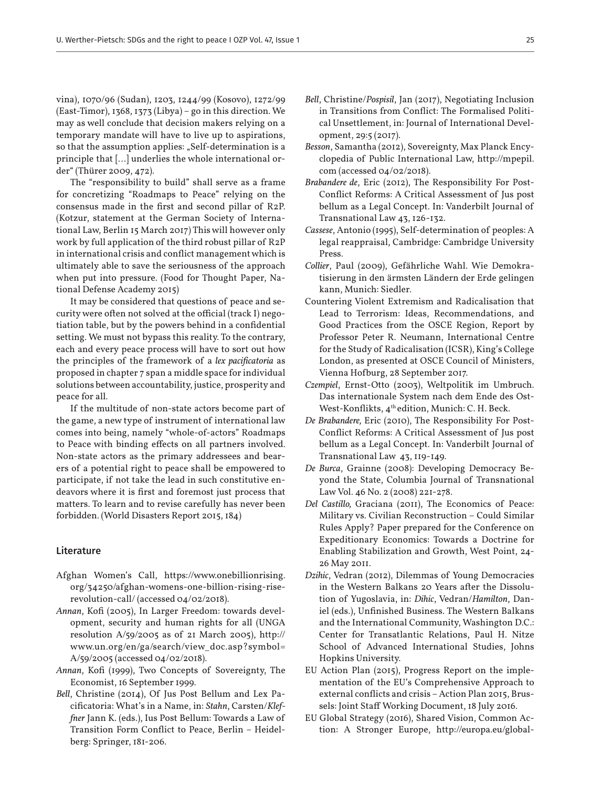vina), 1070/96 (Sudan), 1203, 1244/99 (Kosovo), 1272/99 (East-Timor), 1368, 1373 (Libya) – go in this direction. We may as well conclude that decision makers relying on a temporary mandate will have to live up to aspirations, so that the assumption applies: "Self-determination is a principle that […] underlies the whole international order" (Thürer 2009, 472).

The "responsibility to build" shall serve as a frame for concretizing "Roadmaps to Peace" relying on the consensus made in the first and second pillar of R2P. (Kotzur, statement at the German Society of International Law, Berlin 15 March 2017) This will however only work by full application of the third robust pillar of R2P in international crisis and conflict management which is ultimately able to save the seriousness of the approach when put into pressure. (Food for Thought Paper, National Defense Academy 2015)

It may be considered that questions of peace and security were often not solved at the official (track I) negotiation table, but by the powers behind in a confidential setting. We must not bypass this reality. To the contrary, each and every peace process will have to sort out how the principles of the framework of a *lex pacificatoria* as proposed in chapter 7 span a middle space for individual solutions between accountability, justice, prosperity and peace for all.

If the multitude of non-state actors become part of the game, a new type of instrument of international law comes into being, namely "whole-of-actors" Roadmaps to Peace with binding effects on all partners involved. Non-state actors as the primary addressees and bearers of a potential right to peace shall be empowered to participate, if not take the lead in such constitutive endeavors where it is first and foremost just process that matters. To learn and to revise carefully has never been forbidden. (World Disasters Report 2015, 184)

### Literature

- Afghan Women's Call, https://www.onebillionrising. org/34250/afghan-womens-one-billion-rising-riserevolution-call/ (accessed 04/02/2018).
- *Annan*, Kofi (2005), In Larger Freedom: towards development, security and human rights for all (UNGA resolution A/59/2005 as of 21 March 2005), http:// www.un.org/en/ga/search/view\_doc.asp?symbol= A/59/2005 (accessed 04/02/2018).
- *Annan*, Kofi (1999), Two Concepts of Sovereignty, The Economist, 16 September 1999.
- *Bell*, Christine (2014), Of Jus Post Bellum and Lex Pacificatoria: What's in a Name, in: *Stahn*, Carsten/*Kleffner* Jann K. (eds.), Ius Post Bellum: Towards a Law of Transition Form Conflict to Peace, Berlin – Heidelberg: Springer, 181-206.
- *Bell*, Christine/*Pospisil*, Jan (2017), Negotiating Inclusion in Transitions from Conflict: The Formalised Political Unsettlement, in: Journal of International Development, 29:5 (2017).
- *Besson*, Samantha (2012), Sovereignty, Max Planck Encyclopedia of Public International Law, http://mpepil. com (accessed 04/02/2018).
- *Brabandere de*, Eric (2012), The Responsibility For Post-Conflict Reforms: A Critical Assessment of Jus post bellum as a Legal Concept. In: Vanderbilt Journal of Transnational Law 43, 126-132.
- *Cassese*, Antonio (1995), Self-determination of peoples: A legal reappraisal, Cambridge: Cambridge University Press.
- *Collier*, Paul (2009), Gefährliche Wahl. Wie Demokratisierung in den ärmsten Ländern der Erde gelingen kann, Munich: Siedler.
- Countering Violent Extremism and Radicalisation that Lead to Terrorism: Ideas, Recommendations, and Good Practices from the OSCE Region, Report by Professor Peter R. Neumann, International Centre for the Study of Radicalisation (ICSR), King's College London, as presented at OSCE Council of Ministers, Vienna Hofburg, 28 September 2017.
- *Czempiel*, Ernst-Otto (2003), Weltpolitik im Umbruch. Das internationale System nach dem Ende des Ost-West-Konflikts,  $4<sup>th</sup>$ edition, Munich: C. H. Beck.
- *De Brabandere,* Eric (2010), The Responsibility For Post-Conflict Reforms: A Critical Assessment of Jus post bellum as a Legal Concept. In: Vanderbilt Journal of Transnational Law 43, 119-149.
- *De Burca*, Grainne (2008): Developing Democracy Beyond the State, Columbia Journal of Transnational Law Vol. 46 No. 2 (2008) 221-278.
- *Del Castillo,* Graciana (2011), The Economics of Peace: Military vs. Civilian Reconstruction – Could Similar Rules Apply? Paper prepared for the Conference on Expeditionary Economics: Towards a Doctrine for Enabling Stabilization and Growth, West Point, 24- 26 May 2011.
- *Dzihic*, Vedran (2012), Dilemmas of Young Democracies in the Western Balkans 20 Years after the Dissolution of Yugoslavia, in: *Dihic*, Vedran/*Hamilton*, Daniel (eds.), Unfinished Business. The Western Balkans and the International Community, Washington D.C.: Center for Transatlantic Relations, Paul H. Nitze School of Advanced International Studies, Johns Hopkins University.
- EU Action Plan (2015), Progress Report on the implementation of the EU's Comprehensive Approach to external conflicts and crisis – Action Plan 2015, Brussels: Joint Staff Working Document, 18 July 2016.
- EU Global Strategy (2016), Shared Vision, Common Action: A Stronger Europe, http://europa.eu/global-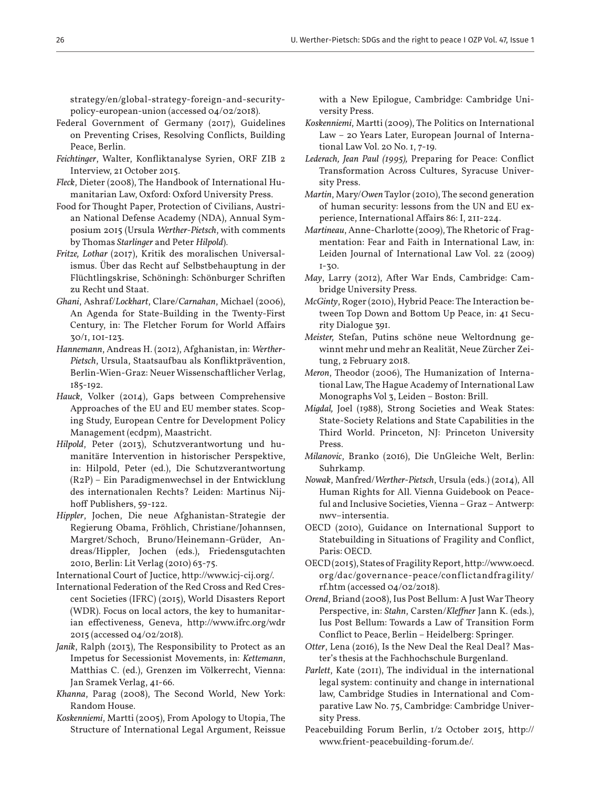26 U. Werther-Pietsch: SDGs and the right to peace I OZP Vol. 47, Issue 1

strategy/en/global-strategy-foreign-and-securitypolicy-european-union (accessed 04/02/2018).

- Federal Government of Germany (2017), Guidelines on Preventing Crises, Resolving Conflicts, Building Peace, Berlin.
- *Feichtinger*, Walter, Konfliktanalyse Syrien, ORF ZIB 2 Interview, 21 October 2015.
- *Fleck*, Dieter (2008), The Handbook of International Humanitarian Law, Oxford: Oxford University Press.
- Food for Thought Paper, Protection of Civilians, Austrian National Defense Academy (NDA), Annual Symposium 2015 (Ursula *Werther-Pietsch*, with comments by Thomas *Starlinger* and Peter *Hilpold*).
- *Fritze, Lothar* (2017), Kritik des moralischen Universalismus. Über das Recht auf Selbstbehauptung in der Flüchtlingskrise, Schöningh: Schönburger Schriften zu Recht und Staat.
- *Ghani*, Ashraf/*Lockhart*, Clare/*Carnahan*, Michael (2006), An Agenda for State-Building in the Twenty-First Century, in: The Fletcher Forum for World Affairs 30/1, 101-123.
- *Hannemann*, Andreas H. (2012), Afghanistan, in: *Werther-Pietsch*, Ursula, Staatsaufbau als Konfliktprävention, Berlin-Wien-Graz: Neuer Wissenschaftlicher Verlag, 185-192.
- *Hauck*, Volker (2014), Gaps between Comprehensive Approaches of the EU and EU member states. Scoping Study, European Centre for Development Policy Management (ecdpm), Maastricht.
- *Hilpold*, Peter (2013), Schutzverantwortung und humanitäre Intervention in historischer Perspektive, in: Hilpold, Peter (ed.), Die Schutzverantwortung (R2P) – Ein Paradigmenwechsel in der Entwicklung des internationalen Rechts? Leiden: Martinus Nijhoff Publishers, 59-122.
- *Hippler*, Jochen, Die neue Afghanistan-Strategie der Regierung Obama, Fröhlich, Christiane/Johannsen, Margret/Schoch, Bruno/Heinemann-Grüder, Andreas/Hippler, Jochen (eds.), Friedensgutachten 2010, Berlin: Lit Verlag (2010) 63-75.

International Court of Juctice, http://www.icj-cij.org/.

- International Federation of the Red Cross and Red Crescent Societies (IFRC) (2015), World Disasters Report (WDR). Focus on local actors, the key to humanitarian effectiveness, Geneva, http://www.ifrc.org/wdr 2015 (accessed 04/02/2018).
- *Janik*, Ralph (2013), The Responsibility to Protect as an Impetus for Secessionist Movements, in: *Kettemann*, Matthias C. (ed.), Grenzen im Völkerrecht, Vienna: Jan Sramek Verlag, 41-66.
- *Khanna*, Parag (2008), The Second World, New York: Random House.
- *Koskenniemi*, Martti (2005), From Apology to Utopia, The Structure of International Legal Argument, Reissue

with a New Epilogue, Cambridge: Cambridge University Press.

- *Koskenniemi*, Martti (2009), The Politics on International Law – 20 Years Later, European Journal of International Law Vol. 20 No. 1, 7-19.
- *Lederach, Jean Paul (1995),* Preparing for Peace: Conflict Transformation Across Cultures, Syracuse University Press.
- *Martin*, Mary/*Owen* Taylor (2010), The second generation of human security: lessons from the UN and EU experience, International Affairs 86: I, 211-224.
- *Martineau*, Anne-Charlotte (2009), The Rhetoric of Fragmentation: Fear and Faith in International Law, in: Leiden Journal of International Law Vol. 22 (2009) 1-30.
- *May*, Larry (2012), After War Ends, Cambridge: Cambridge University Press.
- *McGinty*, Roger (2010), Hybrid Peace: The Interaction between Top Down and Bottom Up Peace, in: 41 Security Dialogue 391.
- *Meister,* Stefan, Putins schöne neue Weltordnung gewinnt mehr und mehr an Realität, Neue Zürcher Zeitung, 2 February 2018.
- *Meron*, Theodor (2006), The Humanization of International Law, The Hague Academy of International Law Monographs Vol 3, Leiden – Boston: Brill.
- *Migdal,* Joel (1988), Strong Societies and Weak States: State-Society Relations and State Capabilities in the Third World. Princeton, NJ: Princeton University Press.
- *Milanovic*, Branko (2016), Die UnGleiche Welt, Berlin: Suhrkamp.
- *Nowak*, Manfred/*Werther-Pietsch*, Ursula (eds.) (2014), All Human Rights for All. Vienna Guidebook on Peaceful and Inclusive Societies, Vienna – Graz – Antwerp: nwv–intersentia.
- OECD (2010), Guidance on International Support to Statebuilding in Situations of Fragility and Conflict, Paris: OECD.
- OECD (2015), States of Fragility Report, http://www.oecd. org/dac/governance-peace/conf lictandfragility/ rf.htm (accessed 04/02/2018).
- *Orend*, Briand (2008), Ius Post Bellum: A Just War Theory Perspective, in: *Stahn*, Carsten/*Kleffner* Jann K. (eds.), Ius Post Bellum: Towards a Law of Transition Form Conflict to Peace, Berlin – Heidelberg: Springer.
- *Otter*, Lena (2016), Is the New Deal the Real Deal? Master's thesis at the Fachhochschule Burgenland.
- *Parlett*, Kate (2011), The individual in the international legal system: continuity and change in international law, Cambridge Studies in International and Comparative Law No. 75, Cambridge: Cambridge University Press.
- Peacebuilding Forum Berlin, 1/2 October 2015, http:// www.frient-peacebuilding-forum.de/.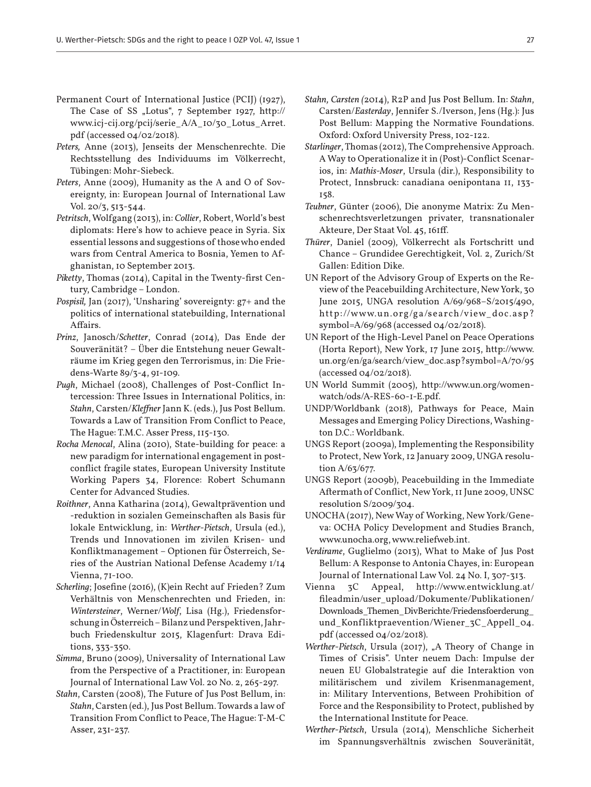- Permanent Court of International Justice (PCIJ) (1927), The Case of SS "Lotus", 7 September 1927, http:// www.icj-cij.org/pcij/serie\_A/A\_10/30\_Lotus\_Arret. pdf (accessed 04/02/2018).
- *Peters,* Anne (2013), Jenseits der Menschenrechte. Die Rechtsstellung des Individuums im Völkerrecht, Tübingen: Mohr-Siebeck.
- *Peters*, Anne (2009), Humanity as the A and O of Sovereignty, in: European Journal of International Law Vol. 20/3, 513-544.
- *Petritsch*, Wolfgang (2013), in: *Collier*, Robert, World's best diplomats: Here's how to achieve peace in Syria. Six essential lessons and suggestions of those who ended wars from Central America to Bosnia, Yemen to Afghanistan, 10 September 2013.
- *Piketty*, Thomas (2014), Capital in the Twenty-first Century, Cambridge – London.
- *Pospisil,* Jan (2017), 'Unsharing' sovereignty: g7+ and the politics of international statebuilding, International Affairs.
- *Prinz*, Janosch/*Schetter*, Conrad (2014), Das Ende der Souveränität? – Über die Entstehung neuer Gewalträume im Krieg gegen den Terrorismus, in: Die Friedens-Warte 89/3-4, 91-109.
- *Pugh*, Michael (2008), Challenges of Post-Conflict Intercession: Three Issues in International Politics, in: *Stahn*, Carsten/*Kleffner* Jann K. (eds.), Jus Post Bellum. Towards a Law of Transition From Conflict to Peace, The Hague: T.M.C. Asser Press, 115-130.
- *Rocha Menocal*, Alina (2010), State-building for peace: a new paradigm for international engagement in postconflict fragile states, European University Institute Working Papers 34, Florence: Robert Schumann Center for Advanced Studies.
- *Roithner*, Anna Katharina (2014), Gewaltprävention und -reduktion in sozialen Gemeinschaften als Basis für lokale Entwicklung, in: *Werther-Pietsch*, Ursula (ed.), Trends und Innovationen im zivilen Krisen- und Konfliktmanagement – Optionen für Österreich, Series of the Austrian National Defense Academy 1/14 Vienna, 71-100.
- *Scherling*; Josefine (2016), (K)ein Recht auf Frieden? Zum Verhältnis von Menschenrechten und Frieden, in: *Wintersteiner*, Werner/*Wolf*, Lisa (Hg.), Friedensforschung in Österreich – Bilanz und Perspektiven, Jahrbuch Friedenskultur 2015, Klagenfurt: Drava Editions, 333-350.
- *Simma*, Bruno (2009), Universality of International Law from the Perspective of a Practitioner, in: European Journal of International Law Vol. 20 No. 2, 265-297.
- *Stahn*, Carsten (2008), The Future of Jus Post Bellum, in: *Stahn*, Carsten (ed.), Jus Post Bellum. Towards a law of Transition From Conflict to Peace, The Hague: T-M-C Asser, 231-237.
- *Stahn, Carsten (*2014), R2P and Jus Post Bellum. In: *Stahn*, Carsten/*Easterday*, Jennifer S./Iverson, Jens (Hg.): Jus Post Bellum: Mapping the Normative Foundations. Oxford: Oxford University Press, 102-122.
- *Starlinger*, Thomas (2012), The Comprehensive Approach. A Way to Operationalize it in (Post)-Conflict Scenarios, in: *Mathis-Moser*, Ursula (dir.), Responsibility to Protect, Innsbruck: canadiana oenipontana 11, 133- 158.
- *Teubner*, Günter (2006), Die anonyme Matrix: Zu Menschenrechtsverletzungen privater, transnationaler Akteure, Der Staat Vol. 45, 161ff.
- *Thürer*, Daniel (2009), Völkerrecht als Fortschritt und Chance – Grundidee Gerechtigkeit, Vol. 2, Zurich/St Gallen: Edition Dike.
- UN Report of the Advisory Group of Experts on the Review of the Peacebuilding Architecture, New York, 30 June 2015, UNGA resolution A/69/968–S/2015/490, http://www.un.org/ga/search/view\_doc.asp? symbol=A/69/968 (accessed 04/02/2018).
- UN Report of the High-Level Panel on Peace Operations (Horta Report), New York, 17 June 2015, http://www. un.org/en/ga/search/view\_doc.asp?symbol=A/70/95 (accessed 04/02/2018).
- UN World Summit (2005), http://www.un.org/womenwatch/ods/A-RES-60-1-E.pdf.
- UNDP/Worldbank (2018), Pathways for Peace, Main Messages and Emerging Policy Directions, Washington D.C.: Worldbank.
- UNGS Report (2009a), Implementing the Responsibility to Protect, New York, 12 January 2009, UNGA resolution A/63/677.
- UNGS Report (2009b), Peacebuilding in the Immediate Aftermath of Conflict, New York, 11 June 2009, UNSC resolution S/2009/304.
- UNOCHA (2017), New Way of Working, New York/Geneva: OCHA Policy Development and Studies Branch, www.unocha.org, www.reliefweb.int.
- *Verdirame*, Guglielmo (2013), What to Make of Jus Post Bellum: A Response to Antonia Chayes, in: European Journal of International Law Vol. 24 No. I, 307-313.
- Vienna 3C Appeal, http://www.entwicklung.at/ fileadmin/user\_upload/Dokumente/Publikationen/ Downloads\_Themen\_DivBerichte/Friedensfoerderung\_ und\_Konfliktpraevention/Wiener\_3C\_Appell\_04. pdf (accessed 04/02/2018).
- *Werther-Pietsch*, Ursula (2017), "A Theory of Change in Times of Crisis". Unter neuem Dach: Impulse der neuen EU Globalstrategie auf die Interaktion von militärischem und zivilem Krisenmanagement, in: Military Interventions, Between Prohibition of Force and the Responsibility to Protect, published by the International Institute for Peace.
- *Werther-Pietsch*, Ursula (2014), Menschliche Sicherheit im Spannungsverhältnis zwischen Souveränität,